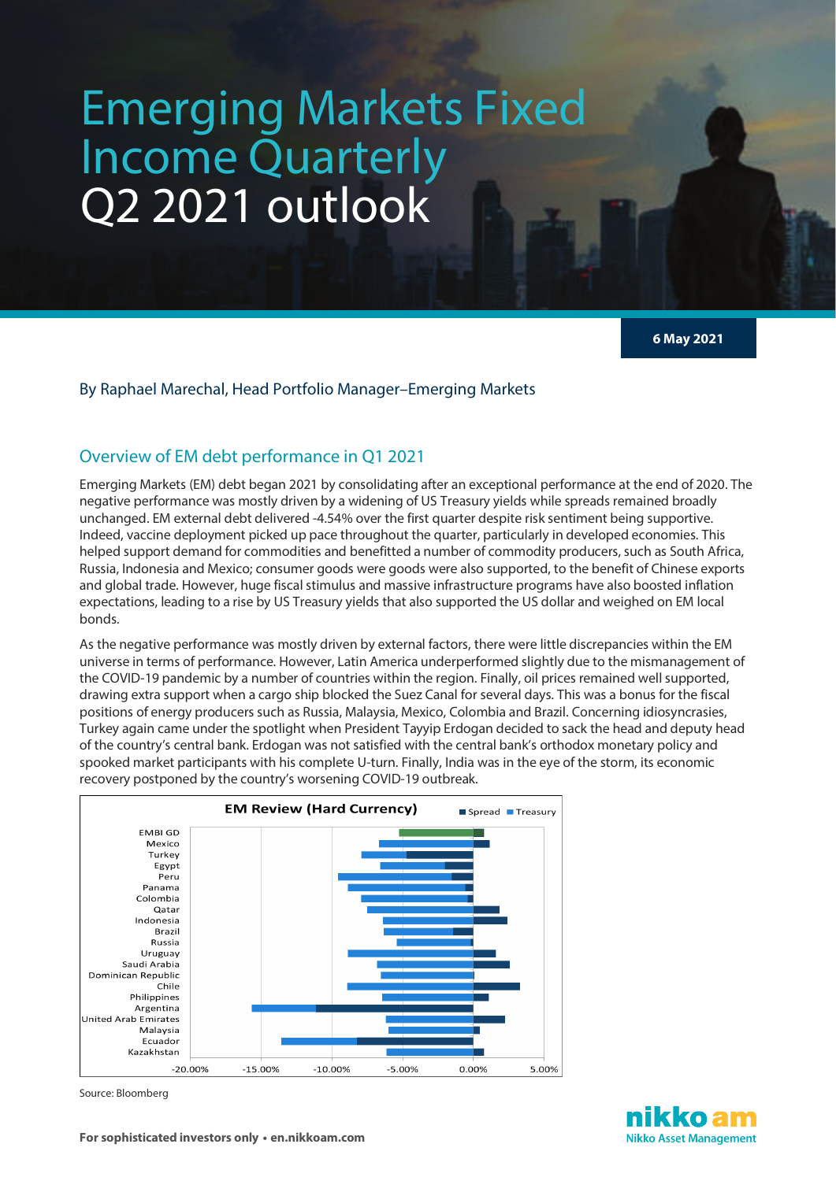# Emerging Markets Fixed Income Quarterly Q2 2021 outlook

**6 May 2021**

### By Raphael Marechal, Head Portfolio Manager–Emerging Markets

# Overview of EM debt performance in Q1 2021

Emerging Markets (EM) debt began 2021 by consolidating after an exceptional performance at the end of 2020. The negative performance was mostly driven by a widening of US Treasury yields while spreads remained broadly unchanged. EM external debt delivered -4.54% over the first quarter despite risk sentiment being supportive. Indeed, vaccine deployment picked up pace throughout the quarter, particularly in developed economies. This helped support demand for commodities and benefitted a number of commodity producers, such as South Africa, Russia, Indonesia and Mexico; consumer goods were goods were also supported, to the benefit of Chinese exports and global trade. However, huge fiscal stimulus and massive infrastructure programs have also boosted inflation expectations, leading to a rise by US Treasury yields that also supported the US dollar and weighed on EM local bonds.

As the negative performance was mostly driven by external factors, there were little discrepancies within the EM universe in terms of performance. However, Latin America underperformed slightly due to the mismanagement of the COVID-19 pandemic by a number of countries within the region. Finally, oil prices remained well supported, drawing extra support when a cargo ship blocked the Suez Canal for several days. This was a bonus for the fiscal positions of energy producers such as Russia, Malaysia, Mexico, Colombia and Brazil. Concerning idiosyncrasies, Turkey again came under the spotlight when President Tayyip Erdogan decided to sack the head and deputy head of the country's central bank. Erdogan was not satisfied with the central bank's orthodox monetary policy and spooked market participants with his complete U-turn. Finally, India was in the eye of the storm, its economic recovery postponed by the country's worsening COVID-19 outbreak.



Source: Bloomberg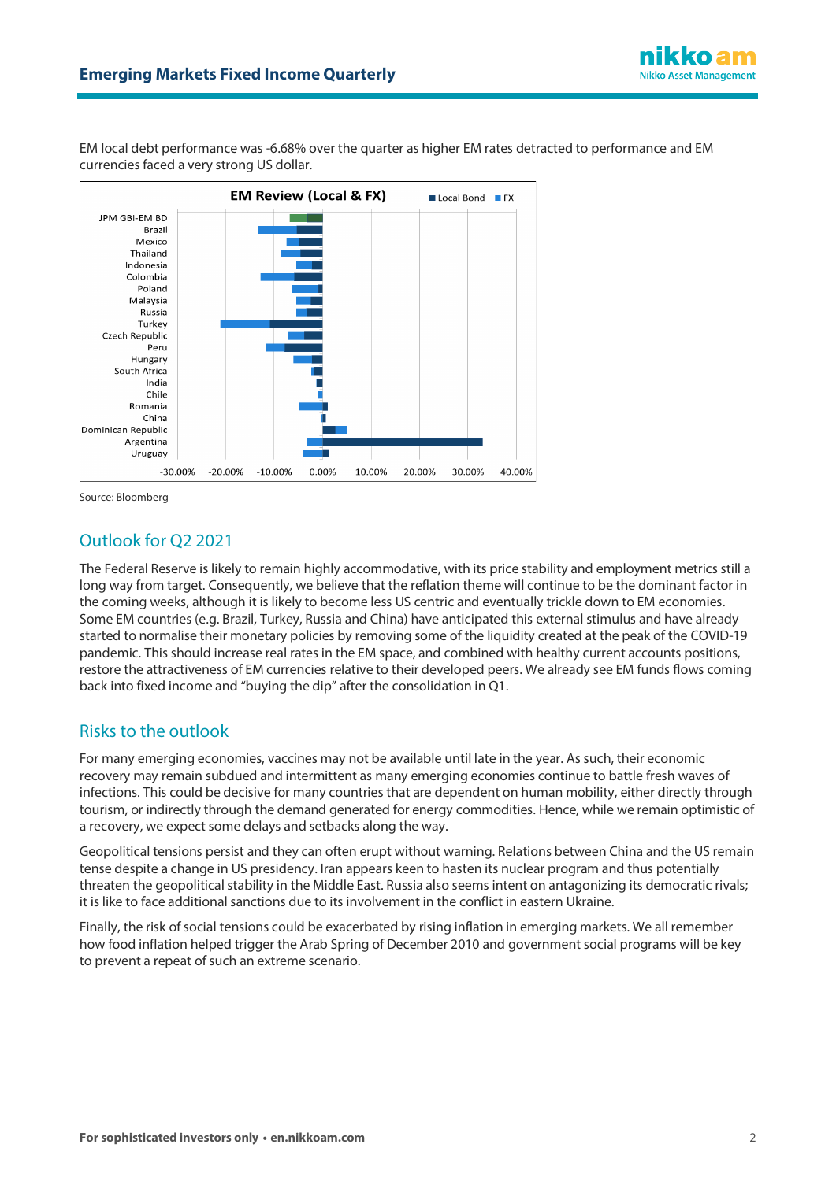

EM local debt performance was -6.68% over the quarter as higher EM rates detracted to performance and EM currencies faced a very strong US dollar.



Source: Bloomberg

# Outlook for Q2 2021

The Federal Reserve is likely to remain highly accommodative, with its price stability and employment metrics still a long way from target. Consequently, we believe that the reflation theme will continue to be the dominant factor in the coming weeks, although it is likely to become less US centric and eventually trickle down to EM economies. Some EM countries (e.g. Brazil, Turkey, Russia and China) have anticipated this external stimulus and have already started to normalise their monetary policies by removing some of the liquidity created at the peak of the COVID-19 pandemic. This should increase real rates in the EM space, and combined with healthy current accounts positions, restore the attractiveness of EM currencies relative to their developed peers. We already see EM funds flows coming back into fixed income and "buying the dip" after the consolidation in Q1.

## Risks to the outlook

For many emerging economies, vaccines may not be available until late in the year. As such, their economic recovery may remain subdued and intermittent as many emerging economies continue to battle fresh waves of infections. This could be decisive for many countries that are dependent on human mobility, either directly through tourism, or indirectly through the demand generated for energy commodities. Hence, while we remain optimistic of a recovery, we expect some delays and setbacks along the way.

Geopolitical tensions persist and they can often erupt without warning. Relations between China and the US remain tense despite a change in US presidency. Iran appears keen to hasten its nuclear program and thus potentially threaten the geopolitical stability in the Middle East. Russia also seems intent on antagonizing its democratic rivals; it is like to face additional sanctions due to its involvement in the conflict in eastern Ukraine.

Finally, the risk of social tensions could be exacerbated by rising inflation in emerging markets. We all remember how food inflation helped trigger the Arab Spring of December 2010 and government social programs will be key to prevent a repeat of such an extreme scenario.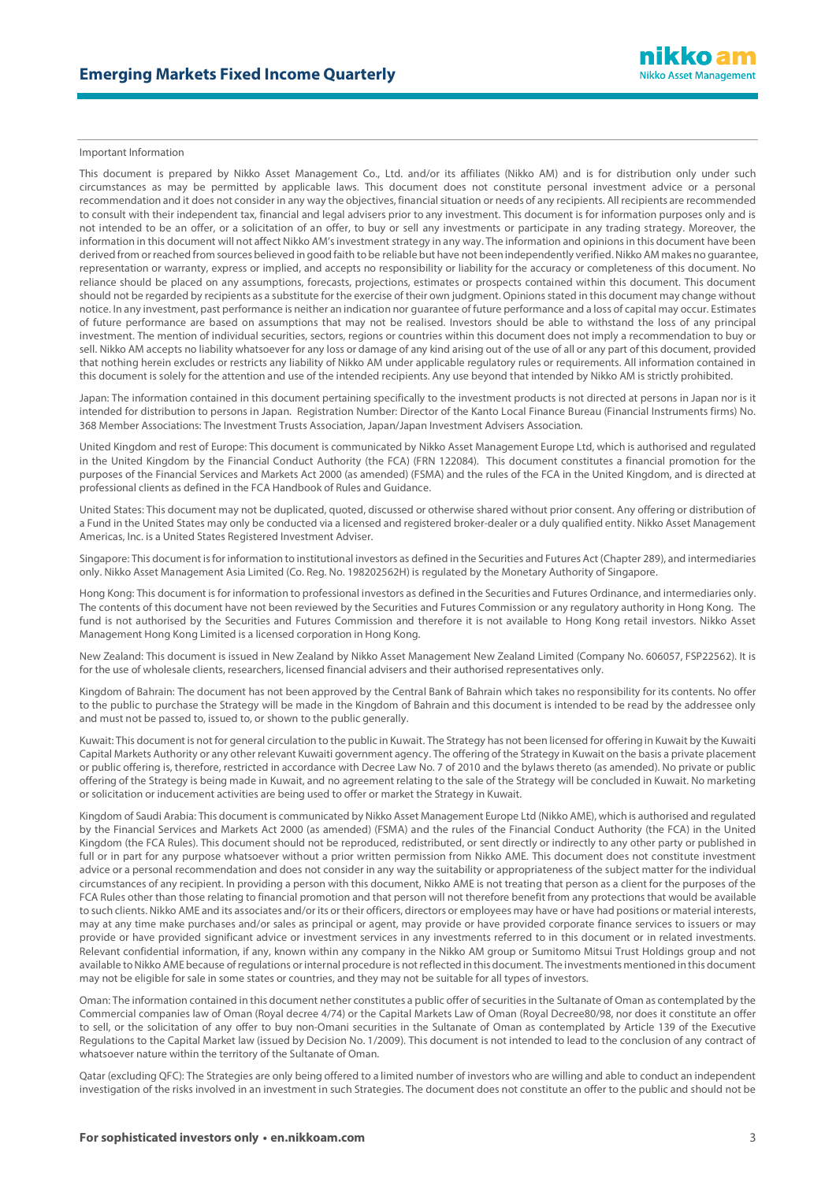#### Important Information

This document is prepared by Nikko Asset Management Co., Ltd. and/or its affiliates (Nikko AM) and is for distribution only under such circumstances as may be permitted by applicable laws. This document does not constitute personal investment advice or a personal recommendation and it does not consider in any way the objectives, financial situation or needs of any recipients. All recipients are recommended to consult with their independent tax, financial and legal advisers prior to any investment. This document is for information purposes only and is not intended to be an offer, or a solicitation of an offer, to buy or sell any investments or participate in any trading strategy. Moreover, the information in this document will not affect Nikko AM's investment strategy in any way. The information and opinions in this document have been derived from or reached from sources believed in good faith to be reliable but have not been independently verified. Nikko AM makes no guarantee, representation or warranty, express or implied, and accepts no responsibility or liability for the accuracy or completeness of this document. No reliance should be placed on any assumptions, forecasts, projections, estimates or prospects contained within this document. This document should not be regarded by recipients as a substitute for the exercise of their own judgment. Opinions stated in this document may change without notice. In any investment, past performance is neither an indication nor guarantee of future performance and a loss of capital may occur. Estimates of future performance are based on assumptions that may not be realised. Investors should be able to withstand the loss of any principal investment. The mention of individual securities, sectors, regions or countries within this document does not imply a recommendation to buy or sell. Nikko AM accepts no liability whatsoever for any loss or damage of any kind arising out of the use of all or any part of this document, provided that nothing herein excludes or restricts any liability of Nikko AM under applicable regulatory rules or requirements. All information contained in this document is solely for the attention and use of the intended recipients. Any use beyond that intended by Nikko AM is strictly prohibited.

Japan: The information contained in this document pertaining specifically to the investment products is not directed at persons in Japan nor is it intended for distribution to persons in Japan. Registration Number: Director of the Kanto Local Finance Bureau (Financial Instruments firms) No. 368 Member Associations: The Investment Trusts Association, Japan/Japan Investment Advisers Association.

United Kingdom and rest of Europe: This document is communicated by Nikko Asset Management Europe Ltd, which is authorised and regulated in the United Kingdom by the Financial Conduct Authority (the FCA) (FRN 122084). This document constitutes a financial promotion for the purposes of the Financial Services and Markets Act 2000 (as amended) (FSMA) and the rules of the FCA in the United Kingdom, and is directed at professional clients as defined in the FCA Handbook of Rules and Guidance.

United States: This document may not be duplicated, quoted, discussed or otherwise shared without prior consent. Any offering or distribution of a Fund in the United States may only be conducted via a licensed and registered broker-dealer or a duly qualified entity. Nikko Asset Management Americas, Inc. is a United States Registered Investment Adviser.

Singapore: This document is for information to institutional investors as defined in the Securities and Futures Act (Chapter 289), and intermediaries only. Nikko Asset Management Asia Limited (Co. Reg. No. 198202562H) is regulated by the Monetary Authority of Singapore.

Hong Kong: This document is for information to professional investors as defined in the Securities and Futures Ordinance, and intermediaries only. The contents of this document have not been reviewed by the Securities and Futures Commission or any regulatory authority in Hong Kong. The fund is not authorised by the Securities and Futures Commission and therefore it is not available to Hong Kong retail investors. Nikko Asset Management Hong Kong Limited is a licensed corporation in Hong Kong.

New Zealand: This document is issued in New Zealand by Nikko Asset Management New Zealand Limited (Company No. 606057, FSP22562). It is for the use of wholesale clients, researchers, licensed financial advisers and their authorised representatives only.

Kingdom of Bahrain: The document has not been approved by the Central Bank of Bahrain which takes no responsibility for its contents. No offer to the public to purchase the Strategy will be made in the Kingdom of Bahrain and this document is intended to be read by the addressee only and must not be passed to, issued to, or shown to the public generally.

Kuwait: This document is not for general circulation to the public in Kuwait. The Strategy has not been licensed for offering in Kuwait by the Kuwaiti Capital Markets Authority or any other relevant Kuwaiti government agency. The offering of the Strategy in Kuwait on the basis a private placement or public offering is, therefore, restricted in accordance with Decree Law No. 7 of 2010 and the bylaws thereto (as amended). No private or public offering of the Strategy is being made in Kuwait, and no agreement relating to the sale of the Strategy will be concluded in Kuwait. No marketing or solicitation or inducement activities are being used to offer or market the Strategy in Kuwait.

Kingdom of Saudi Arabia: This document is communicated by Nikko Asset Management Europe Ltd (Nikko AME), which is authorised and regulated by the Financial Services and Markets Act 2000 (as amended) (FSMA) and the rules of the Financial Conduct Authority (the FCA) in the United Kingdom (the FCA Rules). This document should not be reproduced, redistributed, or sent directly or indirectly to any other party or published in full or in part for any purpose whatsoever without a prior written permission from Nikko AME. This document does not constitute investment advice or a personal recommendation and does not consider in any way the suitability or appropriateness of the subject matter for the individual circumstances of any recipient. In providing a person with this document, Nikko AME is not treating that person as a client for the purposes of the FCA Rules other than those relating to financial promotion and that person will not therefore benefit from any protections that would be available to such clients. Nikko AME and its associates and/or its or their officers, directors or employees may have or have had positions or material interests, may at any time make purchases and/or sales as principal or agent, may provide or have provided corporate finance services to issuers or may provide or have provided significant advice or investment services in any investments referred to in this document or in related investments. Relevant confidential information, if any, known within any company in the Nikko AM group or Sumitomo Mitsui Trust Holdings group and not available to Nikko AME because of regulations or internal procedure is not reflected in this document. The investments mentioned in this document may not be eligible for sale in some states or countries, and they may not be suitable for all types of investors.

Oman: The information contained in this document nether constitutes a public offer of securities in the Sultanate of Oman as contemplated by the Commercial companies law of Oman (Royal decree 4/74) or the Capital Markets Law of Oman (Royal Decree80/98, nor does it constitute an offer to sell, or the solicitation of any offer to buy non-Omani securities in the Sultanate of Oman as contemplated by Article 139 of the Executive Regulations to the Capital Market law (issued by Decision No. 1/2009). This document is not intended to lead to the conclusion of any contract of whatsoever nature within the territory of the Sultanate of Oman.

Qatar (excluding QFC): The Strategies are only being offered to a limited number of investors who are willing and able to conduct an independent investigation of the risks involved in an investment in such Strategies. The document does not constitute an offer to the public and should not be